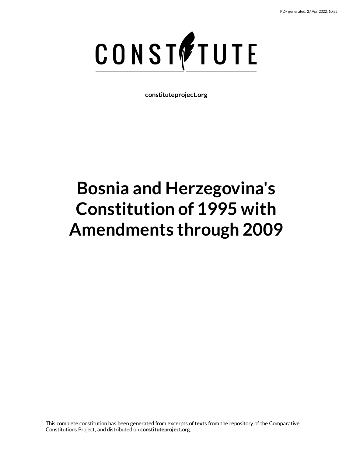

**constituteproject.org**

# **Bosnia and Herzegovina's Constitution of 1995 with Amendments through 2009**

This complete constitution has been generated from excerpts of texts from the repository of the Comparative Constitutions Project, and distributed on **constituteproject.org**.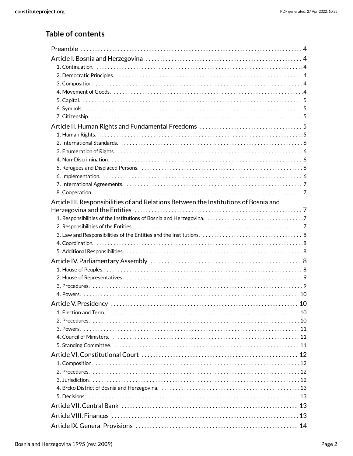### **Table of contents**

| Article III. Responsibilities of and Relations Between the Institutions of Bosnia and |
|---------------------------------------------------------------------------------------|
|                                                                                       |
|                                                                                       |
|                                                                                       |
|                                                                                       |
|                                                                                       |
|                                                                                       |
|                                                                                       |
|                                                                                       |
|                                                                                       |
|                                                                                       |
|                                                                                       |
| Article V. Presidency<br>10                                                           |
|                                                                                       |
|                                                                                       |
|                                                                                       |
|                                                                                       |
|                                                                                       |
|                                                                                       |
|                                                                                       |
|                                                                                       |
|                                                                                       |
|                                                                                       |
|                                                                                       |
|                                                                                       |
|                                                                                       |
|                                                                                       |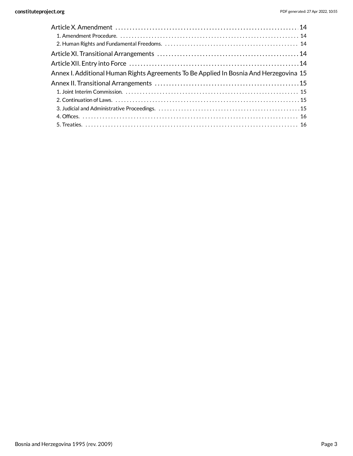| Annex I. Additional Human Rights Agreements To Be Applied In Bosnia And Herzegovina 15 |  |
|----------------------------------------------------------------------------------------|--|
|                                                                                        |  |
|                                                                                        |  |
|                                                                                        |  |
|                                                                                        |  |
|                                                                                        |  |
|                                                                                        |  |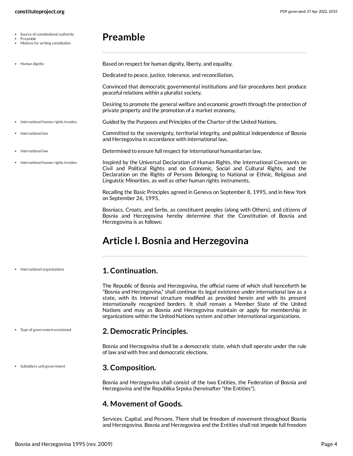- $\bullet$ Source of constitutional authority
- Preamble Motives for writing constitution

### <span id="page-3-6"></span><span id="page-3-0"></span>**Preamble**

| • Human dignity                       | Based on respect for human dignity, liberty, and equality,                                                                                                                                                                                                                                                                           |
|---------------------------------------|--------------------------------------------------------------------------------------------------------------------------------------------------------------------------------------------------------------------------------------------------------------------------------------------------------------------------------------|
|                                       | Dedicated to peace, justice, tolerance, and reconciliation,                                                                                                                                                                                                                                                                          |
|                                       | Convinced that democratic governmental institutions and fair procedures best produce<br>peaceful relations within a pluralist society,                                                                                                                                                                                               |
|                                       | Desiring to promote the general welfare and economic growth through the protection of<br>private property and the promotion of a market economy,                                                                                                                                                                                     |
| • International human rights treaties | Guided by the Purposes and Principles of the Charter of the United Nations,                                                                                                                                                                                                                                                          |
| • International law                   | Committed to the sovereignty, territorial integrity, and political independence of Bosnia<br>and Herzegovina in accordance with international law,                                                                                                                                                                                   |
| • International law                   | Determined to ensure full respect for international humanitarian law.                                                                                                                                                                                                                                                                |
| • International human rights treaties | Inspired by the Universal Declaration of Human Rights, the International Covenants on<br>Civil and Political Rights and on Economic, Social and Cultural Rights, and the<br>Declaration on the Rights of Persons Belonging to National or Ethnic, Religious and<br>Linguistic Minorities, as well as other human rights instruments, |

<span id="page-3-8"></span><span id="page-3-7"></span>Recalling the Basic Principles agreed in Geneva on September 8, 1995, and in New York on September 26, 1995,

Bosniacs, Croats, and Serbs, as constituent peoples (along with Others), and citizens of Bosnia and Herzegovina hereby determine that the Constitution of Bosnia and Herzegovina is as follows:

### <span id="page-3-1"></span>**Article I. Bosnia and Herzegovina**

• International organizations

Type of government envisioned

Subsidiary unit government

#### <span id="page-3-2"></span>**1. Continuation.**

The Republic of Bosnia and Herzegovina, the official name of which shall henceforth be "Bosnia and Herzegovina," shall continue its legal existence under international law as a state, with its internal structure modified as provided herein and with its present internationally recognized borders. It shall remain a Member State of the United Nations and may as Bosnia and Herzegovina maintain or apply for membership in organizations within the United Nations system and other international organizations.

#### <span id="page-3-3"></span>**2. Democratic Principles.**

Bosnia and Herzegovina shall be a democratic state, which shall operate under the rule of law and with free and democratic elections.

#### <span id="page-3-4"></span>**3. Composition.**

Bosnia and Herzegovina shall consist of the two Entities, the Federation of Bosnia and Herzegovina and the Republika Srpska (hereinafter "the Entities").

#### <span id="page-3-5"></span>**4. Movement of Goods.**

Services. Capital. and Persons. There shall be freedom of movement throughout Bosnia and Herzegovina. Bosnia and Herzegovina and the Entities shall not impede full freedom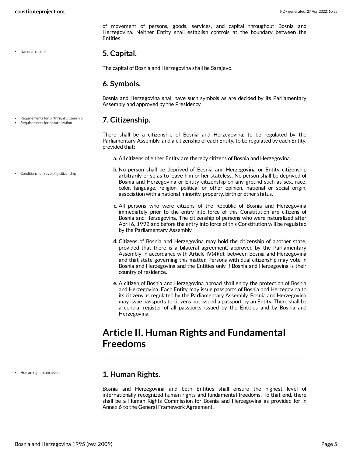National capital

of movement of persons, goods, services, and capital throughout Bosnia and Herzegovina. Neither Entity shall establish controls at the boundary between the Entities.

#### <span id="page-4-0"></span>**5. Capital.**

The capital of Bosnia and Herzegovina shall be Sarajevo.

#### <span id="page-4-1"></span>**6. Symbols.**

Bosnia and Herzegovina shall have such symbols as are decided by its Parliamentary Assembly and approved by the Presidency.

#### <span id="page-4-2"></span>**7. Citizenship.**

<span id="page-4-5"></span>There shall be a citizenship of Bosnia and Herzegovina, to be regulated by the Parliamentary Assembly, and a citizenship of each Entity, to be regulated by each Entity, provided that:

**a.** All citizens of either Entity are thereby citizens of Bosnia and Herzegovina.

- **b.** No person shall be deprived of Bosnia and Herzegovina or Entity citizenship arbitrarily or so as to leave him or her stateless. No person shall be deprived of Bosnia and Herzegovina or Entity citizenship on any ground such as sex, race, color, language, religion, political or other opinion, national or social origin, association with a national minority, property, birth or other status.
- **c.** All persons who were citizens of the Republic of Bosnia and Herzegovina immediately prior to the entry into force of this Constitution are citizens of Bosnia and Herzegovina. The citizenship of persons who were naturalized after April 6, 1992 and before the entry into force of this Constitution will be regulated by the Parliamentary Assembly.
- **d.** Citizens of Bosnia and Herzegovina may hold the citizenship of another state, provided that there is a bilateral agreement, approved by the Parliamentary Assembly in accordance with Article IV(4)(d), between Bosnia and Herzegovina and that state governing this matter. Persons with dual citizenship may vote in Bosnia and Herzegovina and the Entities only if Bosnia and Herzegovina is their country of residence.
- **e.** A citizen of Bosnia and Herzegovina abroad shall enjoy the protection of Bosnia and Herzegovina. Each Entity may issue passports of Bosnia and Herzegovina to its citizens as regulated by the Parliamentary Assembly. Bosnia and Herzegovina may issue passports to citizens not issued a passport by an Entity. There shall be a central register of all passports issued by the Entities and by Bosnia and Herzegovina.

### <span id="page-4-3"></span>**Article II. Human Rights and Fundamental Freedoms**

Human rights commission

#### <span id="page-4-4"></span>**1. Human Rights.**

Bosnia and Herzegovina and both Entities shall ensure the highest level of internationally recognized human rights and fundamental freedoms. To that end, there shall be a Human Rights Commission for Bosnia and Herzegovina as provided for in Annex 6 to the General Framework Agreement.

Requirements for birthright citizenship Requirements for naturalization

Conditions for revoking citizenship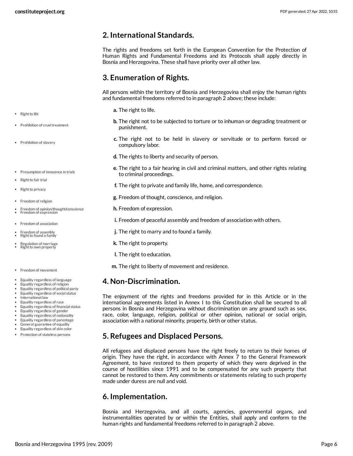#### <span id="page-5-0"></span>**2. International Standards.**

The rights and freedoms set forth in the European Convention for the Protection of Human Rights and Fundamental Freedoms and its Protocols shall apply directly in Bosnia and Herzegovina. These shall have priority over all other law.

#### <span id="page-5-1"></span>**3. Enumeration of Rights.**

<span id="page-5-5"></span>All persons within the territory of Bosnia and Herzegovina shall enjoy the human rights and fundamental freedoms referred to in paragraph 2 above; these include:

- **a.** The right to life.
- **b.** The right not to be subjected to torture or to inhuman or degrading treatment or punishment.
- **c.** The right not to be held in slavery or servitude or to perform forced or compulsory labor.
- **d.** The rights to liberty and security of person.
- **e.** The right to a fair hearing in civil and criminal matters, and other rights relating to criminal proceedings.
- **f.** The right to private and family life, home, and correspondence.
- **g.** Freedom of thought, conscience, and religion.
- **h.** Freedom of expression.
- **i.** Freedom of peaceful assembly and freedom of association with others.
- **j.** The right to marry and to found a family.
- **k.** The right to property.
- **l.** The right to education.

**m.** The right to liberty of movement and residence.

#### <span id="page-5-2"></span>**4. Non-Discrimination.**

The enjoyment of the rights and freedoms provided for in this Article or in the international agreements listed in Annex I to this Constitution shall be secured to all persons in Bosnia and Herzegovina without discrimination on any ground such as sex, race, color, language, religion, political or other opinion, national or social origin, association with a national minority, property, birth or other status.

#### <span id="page-5-3"></span>**5. Refugees and Displaced Persons.**

All refugees and displaced persons have the right freely to return to their homes of origin. They have the right, in accordance with Annex 7 to the General Framework Agreement, to have restored to them property of which they were deprived in the course of hostilities since 1991 and to be compensated for any such property that cannot be restored to them. Any commitments or statements relating to such property made under duress are null and void.

#### <span id="page-5-4"></span>**6. Implementation.**

Bosnia and Herzegovina, and all courts, agencies, governmental organs, and instrumentalities operated by or within the Entities, shall apply and conform to the human rights and fundamental freedoms referred to in paragraph 2 above.

- Right to life
- Prohibition of cruel treatment
- Prohibition of slavery
- Presumption of innocence in trials
- Right to fair trial
- Right to privacy
- Freedom of religion
- Freedom of opinion/thought/conscience Freedom of expression
- Freedom of association
- Freedom of assembly<br>Right to found a family
- Regulation of marriage<br>Right to own property
- Freedom of movement
- Equality regardless of language
- Equality regardless of religion Equality regardless of political party
- Equality regardless of social status
- International law
- Equality regardless of race
- Equality regardless of financial status
- Equality regardless of gender Equality regardless of nationality
- Equality regardless of parentage
- General guarantee of equality
- Equality regardless of skin color
- Protection of stateless persons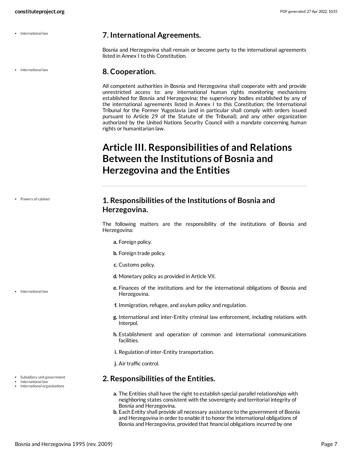• International law

#### <span id="page-6-0"></span>**7. International Agreements.**

Bosnia and Herzegovina shall remain or become party to the international agreements listed in Annex I to this Constitution.

#### <span id="page-6-1"></span>**8. Cooperation.**

All competent authorities in Bosnia and Herzegovina shall cooperate with and provide unrestricted access to: any international human rights monitoring mechanisms established for Bosnia and Herzegovina; the supervisory bodies established by any of the international agreements listed in Annex I to this Constitution; the International Tribunal for the Former Yugoslavia (and in particular shall comply with orders issued pursuant to Article 29 of the Statute of the Tribunal); and any other organization authorized by the United Nations Security Council with a mandate concerning human rights or humanitarian law.

### <span id="page-6-2"></span>**Article III. Responsibilities of and Relations Between the Institutions of Bosnia and Herzegovina and the Entities**

#### Powers of cabinet

• International law

#### <span id="page-6-3"></span>**1. Responsibilities of the Institutions of Bosnia and Herzegovina.**

The following matters are the responsibility of the institutions of Bosnia and Herzegovina:

- **a.** Foreign policy.
- **b.** Foreign trade policy.
- **c.** Customs policy.
- **d.** Monetary policy as provided in Article VII.
- **e.** Finances of the institutions and for the international obligations of Bosnia and Herzegovina.
- **f.** Immigration, refugee, and asylum policy and regulation.
- **g.** International and inter-Entity criminal law enforcement, including relations with Interpol.
- **h.** Establishment and operation of common and international communications facilities.
- **i.** Regulation of inter-Entity transportation.
- **j.** Air traffic control.

#### <span id="page-6-4"></span>**2. Responsibilities of the Entities.**

- **a.** The Entities shall have the right to establish special parallel relationships with neighboring states consistent with the sovereignty and territorial integrity of Bosnia and Herzegovina.
- **b.** Each Entity shall provide all necessary assistance to the government of Bosnia and Herzegovina in order to enable it to honor the international obligations of Bosnia and Herzegovina, provided that financial obligations incurred by one

Subsidiary unit government International law • International organizations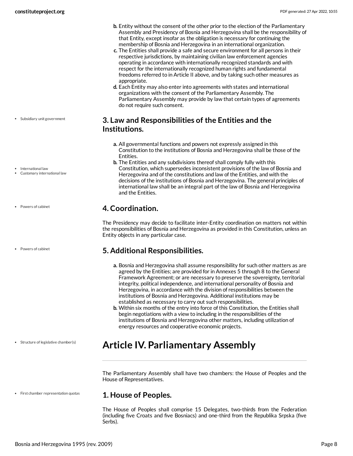Subsidiary unit government

• International law

• Powers of cabinet

Powers of cabinet

Customary international law

- **b.** Entity without the consent of the other prior to the election of the Parliamentary Assembly and Presidency of Bosnia and Herzegovina shall be the responsibility of that Entity, except insofar as the obligation is necessary for continuing the membership of Bosnia and Herzegovina in an international organization.
- **c.** The Entities shall provide a safe and secure environment for all persons in their respective jurisdictions, by maintaining civilian law enforcement agencies operating in accordance with internationally recognized standards and with respect for the internationally recognized human rights and fundamental freedoms referred to in Article II above, and by taking such other measures as appropriate.
- **d.** Each Entity may also enter into agreements with states and international organizations with the consent of the Parliamentary Assembly. The Parliamentary Assembly may provide by law that certain types of agreements do not require such consent.

#### <span id="page-7-0"></span>**3. Law and Responsibilities of the Entities and the Institutions.**

- **a.** All governmental functions and powers not expressly assigned in this Constitution to the institutions of Bosnia and Herzegovina shall be those of the Entities.
- **b.** The Entities and any subdivisions thereof shall comply fully with this Constitution, which supersedes inconsistent provisions of the law of Bosnia and Herzegovina and of the constitutions and law of the Entities, and with the decisions of the institutions of Bosnia and Herzegovina. The general principles of international law shall be an integral part of the law of Bosnia and Herzegovina and the Entities.

#### <span id="page-7-1"></span>**4. Coordination.**

The Presidency may decide to facilitate inter-Entity coordination on matters not within the responsibilities of Bosnia and Herzegovina as provided in this Constitution, unless an Entity objects in any particular case.

#### <span id="page-7-2"></span>**5. Additional Responsibilities.**

- **a.** Bosnia and Herzegovina shall assume responsibility for such other matters as are agreed by the Entities; are provided for in Annexes 5 through 8 to the General Framework Agreement; or are necessary to preserve the sovereignty, territorial integrity, political independence, and international personality of Bosnia and Herzegovina, in accordance with the division of responsibilities between the institutions of Bosnia and Herzegovina. Additional institutions may be established as necessary to carry out such responsibilities.
- **b.** Within six months of the entry into force of this Constitution, the Entities shall begin negotiations with a view to including in the responsibilities of the institutions of Bosnia and Herzegovina other matters, including utilization of energy resources and cooperative economic projects.

### <span id="page-7-3"></span>**Article IV. Parliamentary Assembly**

The Parliamentary Assembly shall have two chambers: the House of Peoples and the House of Representatives.

First chamber representation quotas

• Structure of legislative chamber(s)

#### <span id="page-7-4"></span>**1. House of Peoples.**

The House of Peoples shall comprise 15 Delegates, two-thirds from the Federation (including five Croats and five Bosniacs) and one-third from the Republika Srpska (five Serbs).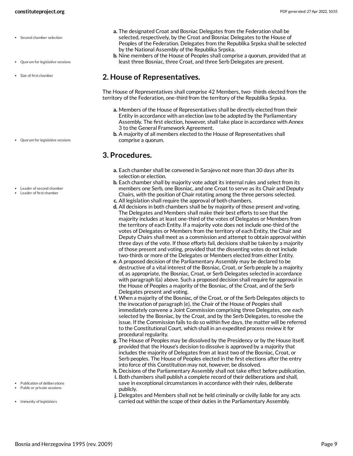- Second chamber selection
- Quorum for legislative sessions
- Size of first chamber

- Quorum for legislative sessions
- Leader of second chamber
- Leader of first chamber

- Publication of deliberations Public or private sessions
- Immunity of legislators
- **a.** The designated Croat and Bosniac Delegates from the Federation shall be selected, respectively, by the Croat and Bosniac Delegates to the House of Peoples of the Federation. Delegates from the Republika Srpska shall be selected by the National Assembly of the Republika Srpska.
- **b.** Nine members of the House of Peoples shall comprise a quorum, provided that at least three Bosniac, three Croat, and three Serb Delegates are present.

#### <span id="page-8-0"></span>**2. House of Representatives.**

The House of Representatives shall comprise 42 Members, two- thirds elected from the territory of the Federation, one-third from the territory of the Republika Srpska.

- **a.** Members of the House of Representatives shall be directly elected from their Entity in accordance with an election law to be adopted by the Parliamentary Assembly. The first election, however, shall take place in accordance with Annex 3 to the General Framework Agreement.
- **b.** A majority of all members elected to the House of Representatives shall comprise a quorum.

#### <span id="page-8-1"></span>**3. Procedures.**

- **a.** Each chamber shall be convened in Sarajevo not more than 30 days after its selection or election.
- **b.** Each chamber shall by majority vote adopt its internal rules and select from its members one Serb, one Bosniac, and one Croat to serve as its Chair and Deputy Chairs, with the position of Chair rotating among the three persons selected.
- **c.** All legislation shall require the approval of both chambers.
- **d.** All decisions in both chambers shall be by majority of those present and voting. The Delegates and Members shall make their best efforts to see that the majority includes at least one-third of the votes of Delegates or Members from the territory of each Entity. If a majority vote does not include one-third of the votes of Delegates or Members from the territory of each Entity, the Chair and Deputy Chairs shall meet as a commission and attempt to obtain approval within three days of the vote. If those efforts fail, decisions shall be taken by a majority of those present and voting, provided that the dissenting votes do not include two-thirds or more of the Delegates or Members elected from either Entity.
- **e.** A proposed decision of the Parliamentary Assembly may be declared to be destructive of a vital interest of the Bosniac, Croat, or Serb people by a majority of, as appropriate, the Bosniac, Croat, or Serb Delegates selected in accordance with paragraph l(a) above. Such a proposed decision shall require for approval in the House of Peoples a majority of the Bosniac, of the Croat, and of the Serb Delegates present and voting.
- **f.** When a majority of the Bosniac, of the Croat, or of the Serb Delegates objects to the invocation of paragraph (e), the Chair of the House of Peoples shall immediately convene a Joint Commission comprising three Delegates, one each selected by the Bosniac, by the Croat, and by the Serb Delegates, to resolve the issue. If the Commission fails to do so within five days, the matter will be referred to the Constitutional Court, which shall in an expedited process review it for procedural regularity.
- **g.** The House of Peoples may be dissolved by the Presidency or by the House itself, provided that the House's decision to dissolve is approved by a majority that includes the majority of Delegates from at least two of the Bosniac, Croat, or Serb peoples. The House of Peoples elected in the first elections after the entry into force of this Constitution may not, however, be dissolved.
- **h.** Decisions of the Parliamentary Assembly shall not take effect before publication.
- **i.** Both chambers shall publish a complete record of their deliberations and shall, save in exceptional circumstances in accordance with their rules, deliberate publicly.
- **j.** Delegates and Members shall not be held criminally or civilly liable for any acts carried out within the scope of their duties in the Parliamentary Assembly.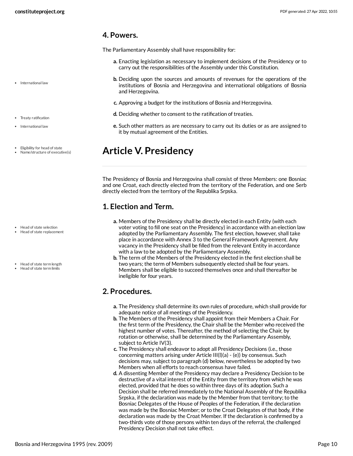#### <span id="page-9-0"></span>**4. Powers.**

<span id="page-9-4"></span>The Parliamentary Assembly shall have responsibility for:

- **a.** Enacting legislation as necessary to implement decisions of the Presidency or to carry out the responsibilities of the Assembly under this Constitution.
- **b.** Deciding upon the sources and amounts of revenues for the operations of the institutions of Bosnia and Herzegovina and international obligations of Bosnia and Herzegovina.
- **c.** Approving a budget for the institutions of Bosnia and Herzegovina.
- **d.** Deciding whether to consent to the ratification of treaties.
- **e.** Such other matters as are necessary to carry out its duties or as are assigned to it by mutual agreement of the Entities.

### <span id="page-9-1"></span>**Article V. Presidency**

The Presidency of Bosnia and Herzegovina shall consist of three Members: one Bosniac and one Croat, each directly elected from the territory of the Federation, and one Serb directly elected from the territory of the Republika Srpska.

#### <span id="page-9-2"></span>**1. Election and Term.**

- **a.** Members of the Presidency shall be directly elected in each Entity (with each voter voting to fill one seat on the Presidency) in accordance with an election law adopted by the Parliamentary Assembly. The first election, however, shall take place in accordance with Annex 3 to the General Framework Agreement. Any vacancy in the Presidency shall be filled from the relevant Entity in accordance with a law to be adopted by the Parliamentary Assembly.
- **b.** The term of the Members of the Presidency elected in the first election shall be two years; the term of Members subsequently elected shall be four years. Members shall be eligible to succeed themselves once and shall thereafter be ineligible for four years.

#### <span id="page-9-3"></span>**2. Procedures.**

- **a.** The Presidency shall determine its own rules of procedure, which shall provide for adequate notice of all meetings of the Presidency.
- **b.** The Members of the Presidency shall appoint from their Members a Chair. For the first term of the Presidency, the Chair shall be the Member who received the highest number of votes. Thereafter, the method of selecting the Chair, by rotation or otherwise, shall be determined by the Parliamentary Assembly, subject to Article IV(3).
- **c.** The Presidency shall endeavor to adopt all Presidency Decisions (i.e., those concerning matters arising under Article III(l)(a) - (e)) by consensus. Such decisions may, subject to paragraph (d) below, nevertheless be adopted by two Members when all efforts to reach consensus have failed.
- **d.** A dissenting Member of the Presidency may declare a Presidency Decision to be destructive of a vital interest of the Entity from the territory from which he was elected, provided that he does so within three days of its adoption. Such a Decision shall be referred immediately to the National Assembly of the Republika Srpska, if the declaration was made by the Member from that territory; to the Bosniac Delegates of the House of Peoples of the Federation, if the declaration was made by the Bosniac Member; or to the Croat Delegates of that body, if the declaration was made by the Croat Member. If the declaration is confirmed by a two-thirds vote of those persons within ten days of the referral, the challenged Presidency Decision shall not take effect.
- International law
- Treaty ratification
- International law
- Eligibility for head of state Name/structure of executive(s)

- Head of state selection Head of state replacement
- Head of state term length
- Head of state term limits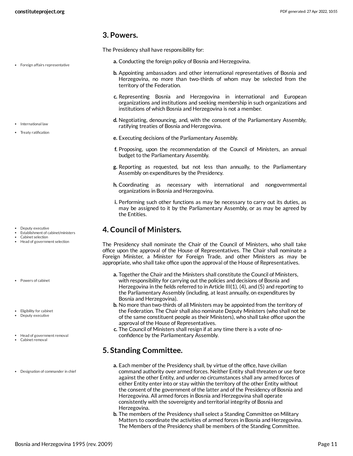#### <span id="page-10-0"></span>**3. Powers.**

<span id="page-10-3"></span>The Presidency shall have responsibility for:

Foreign affairs representative

- International law
- Treaty ratification

- Deputy executive
- Establishment of cabinet/ministers
- Cabinet selection Head of government selection
- Powers of cabinet
- Eligibility for cabinet
- Deputy executive
- Head of government removal
- Cabinet removal
- Designation of commander in chief
- **a.** Conducting the foreign policy of Bosnia and Herzegovina.
- **b.** Appointing ambassadors and other international representatives of Bosnia and Herzegovina, no more than two-thirds of whom may be selected from the territory of the Federation.
- **c.** Representing Bosnia and Herzegovina in international and European organizations and institutions and seeking membership in such organizations and institutions of which Bosnia and Herzegovina is not a member.
- **d.** Negotiating, denouncing, and, with the consent of the Parliamentary Assembly, ratifying treaties of Bosnia and Herzegovina.
- **e.** Executing decisions of the Parliamentary Assembly.
- **f.** Proposing, upon the recommendation of the Council of Ministers, an annual budget to the Parliamentary Assembly.
- **g.** Reporting as requested, but not less than annually, to the Parliamentary Assembly on expenditures by the Presidency.
- **h.** Coordinating as necessary with international and nongovernmental organizations in Bosnia and Herzegovina.
- **i.** Performing such other functions as may be necessary to carry out its duties, as may be assigned to it by the Parliamentary Assembly, or as may be agreed by the Entities.

#### <span id="page-10-1"></span>**4. Council of Ministers.**

The Presidency shall nominate the Chair of the Council of Ministers, who shall take office upon the approval of the House of Representatives. The Chair shall nominate a Foreign Minister, a Minister for Foreign Trade, and other Ministers as may be appropriate, who shall take office upon the approval of the House of Representatives.

- **a.** Together the Chair and the Ministers shall constitute the Council of Ministers, with responsibility for carrying out the policies and decisions of Bosnia and Herzegovina in the fields referred to in Article III(1), (4), and (5) and reporting to the Parliamentary Assembly (including, at least annually, on expenditures by Bosnia and Herzegovina).
- **b.** No more than two-thirds of all Ministers may be appointed from the territory of the Federation. The Chair shall also nominate Deputy Ministers (who shall not be of the same constituent people as their Ministers), who shall take office upon the approval of the House of Representatives.
- **c.** The Council of Ministers shall resign if at any time there is a vote of noconfidence by the Parliamentary Assembly.

#### <span id="page-10-2"></span>**5. Standing Committee.**

- **a.** Each member of the Presidency shall, by virtue of the office, have civilian command authority over armed forces. Neither Entity shall threaten or use force against the other Entity, and under no circumstances shall any armed forces of either Entity enter into or stay within the territory of the other Entity without the consent of the government of the latter and of the Presidency of Bosnia and Herzegovina. All armed forces in Bosnia and Herzegovina shall operate consistently with the sovereignty and territorial integrity of Bosnia and Herzegovina.
- **b.** The members of the Presidency shall select a Standing Committee on Military Matters to coordinate the activities of armed forces in Bosnia and Herzegovina. The Members of the Presidency shall be members of the Standing Committee.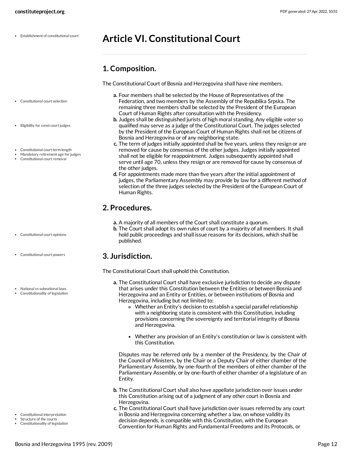**•** Establishment of constitutional court

### <span id="page-11-0"></span>**Article VI. Constitutional Court**

#### <span id="page-11-1"></span>**1. Composition.**

The Constitutional Court of Bosnia and Herzegovina shall have nine members.

- **a.** Four members shall be selected by the House of Representatives of the Federation, and two members by the Assembly of the Republika Srpska. The remaining three members shall be selected by the President of the European Court of Human Rights after consultation with the Presidency.
- **b.** Judges shall be distinguished jurists of high moral standing. Any eligible voter so qualified may serve as a judge of the Constitutional Court. The judges selected by the President of the European Court of Human Rights shall not be citizens of Bosnia and Herzegovina or of any neighboring state.
- **c.** The term of judges initially appointed shall be five years, unless they resign or are removed for cause by consensus of the other judges. Judges initially appointed shall not be eligible for reappointment. Judges subsequently appointed shall serve until age 70, unless they resign or are removed for cause by consensus of the other judges.
- **d.** For appointments made more than five years after the initial appointment of judges, the Parliamentary Assembly may provide by law for a different method of selection of the three judges selected by the President of the European Court of Human Rights.

#### <span id="page-11-2"></span>**2. Procedures.**

- **a.** A majority of all members of the Court shall constitute a quorum.
- **b.** The Court shall adopt its own rules of court by a majority of all members. It shall hold public proceedings and shall issue reasons for its decisions, which shall be published.

#### <span id="page-11-3"></span>**3. Jurisdiction.**

The Constitutional Court shall uphold this Constitution.

- **a.** The Constitutional Court shall have exclusive jurisdiction to decide any dispute that arises under this Constitution between the Entities or between Bosnia and Herzegovina and an Entity or Entities, or between institutions of Bosnia and Herzegovina, including but not limited to:
	- Whether an Entity's decision to establish a special parallel relationship with a neighboring state is consistent with this Constitution, including provisions concerning the sovereignty and territorial integrity of Bosnia and Herzegovina.
	- Whether any provision of an Entity's constitution or law is consistent with this Constitution.

Disputes may be referred only by a member of the Presidency, by the Chair of the Council of Ministers, by the Chair or a Deputy Chair of either chamber of the Parliamentary Assembly, by one-fourth of the members of either chamber of the Parliamentary Assembly, or by one-fourth of either chamber of a legislature of an Entity.

- **b.** The Constitutional Court shall also have appellate jurisdiction over issues under this Constitution arising out of a judgment of any other court in Bosnia and Herzegovina.
- **c.** The Constitutional Court shall have jurisdiction over issues referred by any court in Bosnia and Herzegovina concerning whether a law, on whose validity its decision depends, is compatible with this Constitution, with the European Convention for Human Rights and Fundamental Freedoms and its Protocols, or
- Constitutional court selection
- Eligibility for const court judges
- Constitutional court term length
- Mandatory retirement age for judges
- Constitutional court removal

- Constitutional court opinions
- Constitutional court powers

National vs subnational laws Constitutionality of legislation

- Constitutional interpretation
- Structure of the courts Constitutionality of legislation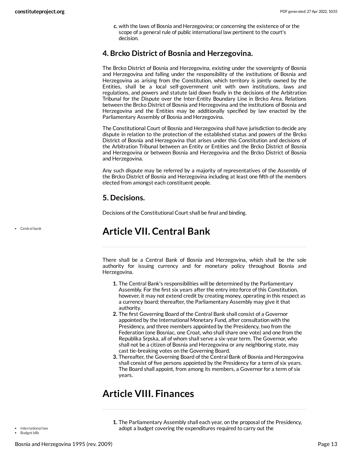**c.** with the laws of Bosnia and Herzegovina; or concerning the existence of or the scope of a general rule of public international law pertinent to the court's decision.

#### <span id="page-12-0"></span>**4. Brcko District of Bosnia and Herzegovina.**

The Brcko District of Bosnia and Herzegovina, existing under the sovereignty of Bosnia and Herzegovina and falling under the responsibility of the institutions of Bosnia and Herzegovina as arising from the Constitution, which territory is jointly owned by the Entities, shall be a local self-government unit with own institutions, laws and regulations, and powers and statute laid down finally in the decisions of the Arbitration Tribunal for the Dispute over the Inter-Entity Boundary Line in Brcko Area. Relations between the Brcko District of Bosnia and Herzegovina and the institutions of Bosnia and Herzegovina and the Entities may be additionally specified by law enacted by the Parliamentary Assembly of Bosnia and Herzegovina.

The Constitutional Court of Bosnia and Herzegovina shall have jurisdiction to decide any dispute in relation to the protection of the established status and powers of the Brcko District of Bosnia and Herzegovina that arises under this Constitution and decisions of the Arbitration Tribunal between an Entity or Entities and the Brcko District of Bosnia and Herzegovina or between Bosnia and Herzegovina and the Brcko District of Bosnia and Herzegovina.

Any such dispute may be referred by a majority of representatives of the Assembly of the Brcko District of Bosnia and Herzegovina including at least one fifth of the members elected from amongst each constituent people.

#### <span id="page-12-1"></span>**5. Decisions.**

Decisions of the Constitutional Court shall be final and binding.

Central bank

### <span id="page-12-2"></span>**Article VII. Central Bank**

There shall be a Central Bank of Bosnia and Herzegovina, which shall be the sole authority for issuing currency and for monetary policy throughout Bosnia and Herzegovina.

- **1.** The Central Bank's responsibilities will be determined by the Parliamentary Assembly. For the first six years after the entry into force of this Constitution, however, it may not extend credit by creating money, operating in this respect as a currency board; thereafter, the Parliamentary Assembly may give it that authority.
- **2.** The first Governing Board of the Central Bank shall consist of a Governor appointed by the International Monetary Fund, after consultation with the Presidency, and three members appointed by the Presidency, two from the Federation (one Bosniac, one Croat, who shall share one vote) and one from the Republika Srpska, all of whom shall serve a six-year term. The Governor, who shall not be a citizen of Bosnia and Herzegovina or any neighboring state, may cast tie-breaking votes on the Governing Board.
- **3.** Thereafter, the Governing Board of the Central Bank of Bosnia and Herzegovina shall consist of five persons appointed by the Presidency for a term of six years. The Board shall appoint, from among its members, a Governor for a term of six years.

### <span id="page-12-3"></span>**Article VIII. Finances**

**1.** The Parliamentary Assembly shall each year, on the proposal of the Presidency, adopt a budget covering the expenditures required to carry out the

• International law • Budget bills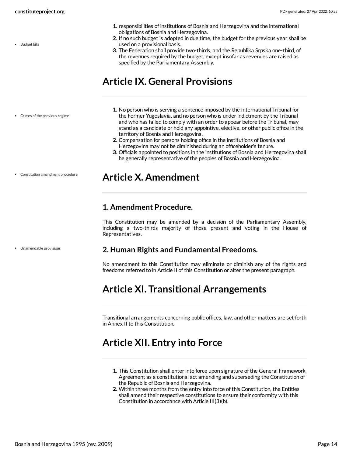• Budget bills

- **1.** responsibilities of institutions of Bosnia and Herzegovina and the international obligations of Bosnia and Herzegovina.
- **2.** If no such budget is adopted in due time, the budget for the previous year shall be used on a provisional basis.
- **3.** The Federation shall provide two-thirds, and the Republika Srpska one-third, of the revenues required by the budget, except insofar as revenues are raised as specified by the Parliamentary Assembly.

### <span id="page-13-0"></span>**Article IX. General Provisions**

Crimes of the previous regime

Constitution amendment procedure

- **1.** No person who is serving a sentence imposed by the International Tribunal for the Former Yugoslavia, and no person who is under indictment by the Tribunal and who has failed to comply with an order to appear before the Tribunal, may stand as a candidate or hold any appointive, elective, or other public office in the territory of Bosnia and Herzegovina.
- **2.** Compensation for persons holding office in the institutions of Bosnia and Herzegovina may not be diminished during an officeholder's tenure.
- **3.** Officials appointed to positions in the institutions of Bosnia and Herzegovina shall be generally representative of the peoples of Bosnia and Herzegovina.

### <span id="page-13-1"></span>**Article X. Amendment**

#### <span id="page-13-2"></span>**1. Amendment Procedure.**

This Constitution may be amended by a decision of the Parliamentary Assembly, including a two-thirds majority of those present and voting in the House of Representatives.

Unamendable provisions

#### <span id="page-13-3"></span>**2. Human Rights and Fundamental Freedoms.**

No amendment to this Constitution may eliminate or diminish any of the rights and freedoms referred to in Article II of this Constitution or alter the present paragraph.

## <span id="page-13-4"></span>**Article XI. Transitional Arrangements**

Transitional arrangements concerning public offices, law, and other matters are set forth in Annex II to this Constitution.

## <span id="page-13-5"></span>**Article XII. Entry into Force**

- **1.** This Constitution shall enter into force upon signature of the General Framework Agreement as a constitutional act amending and superseding the Constitution of the Republic of Bosnia and Herzegovina.
- **2.** Within three months from the entry into force of this Constitution, the Entities shall amend their respective constitutions to ensure their conformity with this Constitution in accordance with Article III(3)(b).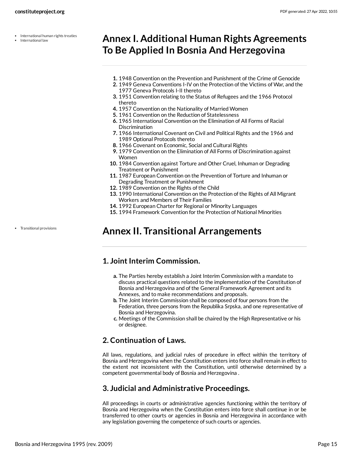• International human rights treaties

### <span id="page-14-0"></span>**Annex I. Additional Human Rights Agreements To Be Applied In Bosnia And Herzegovina**

- **1.** 1948 Convention on the Prevention and Punishment of the Crime of Genocide
- **2.** 1949 Geneva Conventions I-IV on the Protection of the Victims of War, and the 1977 Geneva Protocols I-II thereto
- **3.** 1951 Convention relating to the Status of Refugees and the 1966 Protocol thereto
- **4.** 1957 Convention on the Nationality of Married Women
- **5.** 1961 Convention on the Reduction of Statelessness
- **6.** 1965 International Convention on the Elimination of All Forms of Racial Discrimination
- **7.** 1966 International Covenant on Civil and Political Rights and the 1966 and 1989 Optional Protocols thereto
- **8.** 1966 Covenant on Economic, Social and Cultural Rights
- **9.** 1979 Convention on the Elimination of All Forms of Discrimination against Women
- **10.** 1984 Convention against Torture and Other Cruel, Inhuman or Degrading Treatment or Punishment
- **11.** 1987 European Convention on the Prevention of Torture and Inhuman or Degrading Treatment or Punishment
- **12.** 1989 Convention on the Rights of the Child
- **13.** 1990 International Convention on the Protection of the Rights of All Migrant Workers and Members of Their Families
- **14.** 1992 European Charter for Regional or Minority Languages
- **15.** 1994 Framework Convention for the Protection of National Minorities

Transitional provisions

### <span id="page-14-1"></span>**Annex II. Transitional Arrangements**

#### <span id="page-14-2"></span>**1. Joint Interim Commission.**

- **a.** The Parties hereby establish a Joint Interim Commission with a mandate to discuss practical questions related to the implementation of the Constitution of Bosnia and Herzegovina and of the General Framework Agreement and its Annexes, and to make recommendations and proposals.
- **b.** The Joint Interim Commission shall be composed of four persons from the Federation, three persons from the Republika Srpska, and one representative of Bosnia and Herzegovina.
- **c.** Meetings of the Commission shall be chaired by the High Representative or his or designee.

#### <span id="page-14-3"></span>**2. Continuation of Laws.**

All laws, regulations, and judicial rules of procedure in effect within the territory of Bosnia and Herzegovina when the Constitution enters into force shall remain in effect to the extent not inconsistent with the Constitution, until otherwise determined by a competent governmental body of Bosnia and Herzegovina .

#### <span id="page-14-4"></span>**3. Judicial and Administrative Proceedings.**

All proceedings in courts or administrative agencies functioning within the territory of Bosnia and Herzegovina when the Constitution enters into force shall continue in or be transferred to other courts or agencies in Bosnia and Herzegovina in accordance with any legislation governing the competence of such courts or agencies.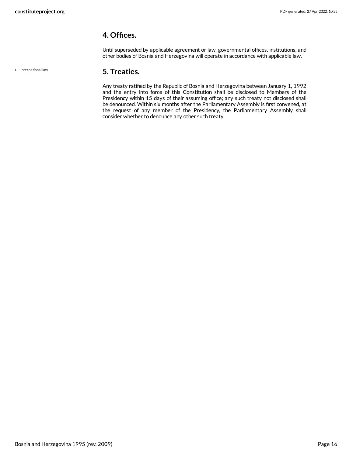#### <span id="page-15-0"></span>**4. Offices.**

Until superseded by applicable agreement or law, governmental offices, institutions, and other bodies of Bosnia and Herzegovina will operate in accordance with applicable law.

• International law

#### <span id="page-15-1"></span>**5. Treaties.**

Any treaty ratified by the Republic of Bosnia and Herzegovina between January 1, 1992 and the entry into force of this Constitution shall be disclosed to Members of the Presidency within 15 days of their assuming office; any such treaty not disclosed shall be denounced. Within six months after the Parliamentary Assembly is first convened, at the request of any member of the Presidency, the Parliamentary Assembly shall consider whether to denounce any other such treaty.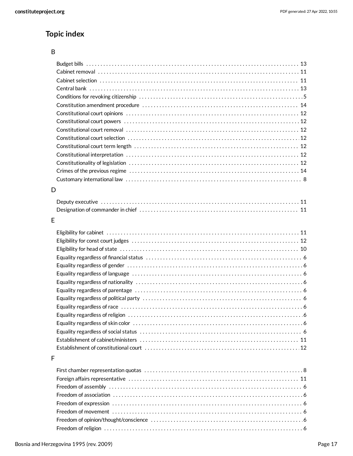### **Topic index**

#### B

| D |  |
|---|--|
|   |  |
|   |  |
| E |  |
|   |  |
|   |  |
|   |  |
|   |  |
|   |  |
|   |  |
|   |  |
|   |  |
|   |  |
|   |  |
|   |  |
|   |  |
|   |  |
|   |  |
|   |  |
|   |  |

#### F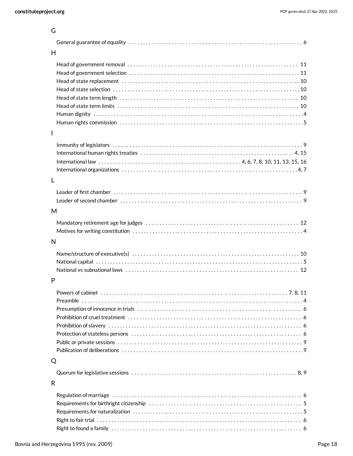#### G

| H |  |
|---|--|
|   |  |
| T |  |
|   |  |
| L |  |
|   |  |
| M |  |
|   |  |
| N |  |
|   |  |
| P |  |
|   |  |
| Q |  |
|   |  |
| R |  |
|   |  |